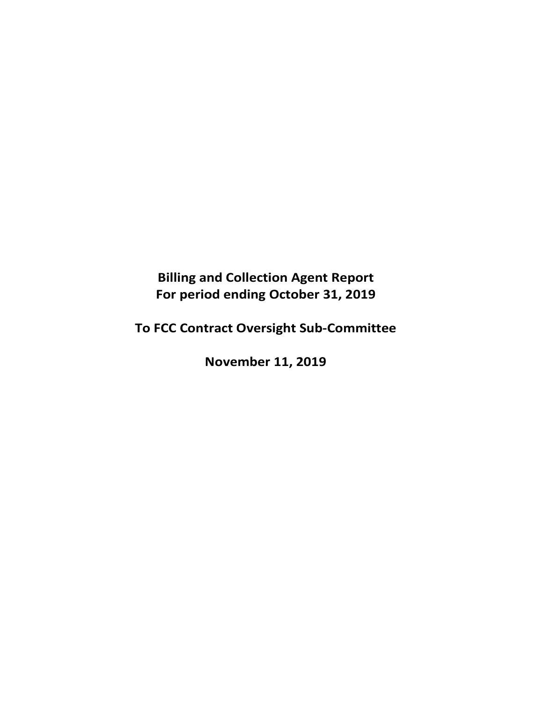**Billing and Collection Agent Report For period ending October 31, 2019** 

**To FCC Contract Oversight Sub‐Committee** 

**November 11, 2019**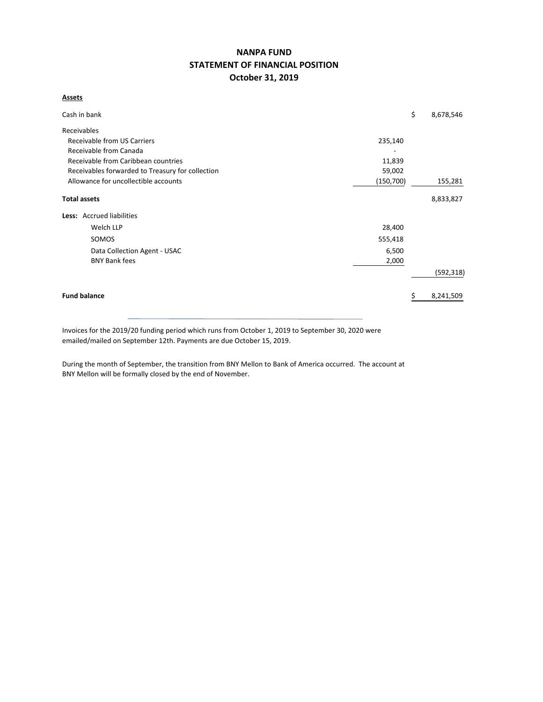# **NANPA FUND STATEMENT OF FINANCIAL POSITION October 31, 2019**

**Assets**

| Cash in bank                                     |            | \$<br>8,678,546 |
|--------------------------------------------------|------------|-----------------|
| Receivables                                      |            |                 |
| <b>Receivable from US Carriers</b>               | 235,140    |                 |
| Receivable from Canada                           |            |                 |
| Receivable from Caribbean countries              | 11,839     |                 |
| Receivables forwarded to Treasury for collection | 59,002     |                 |
| Allowance for uncollectible accounts             | (150, 700) | 155,281         |
| <b>Total assets</b>                              |            | 8,833,827       |
| Less: Accrued liabilities                        |            |                 |
| Welch LLP                                        | 28,400     |                 |
| SOMOS                                            | 555,418    |                 |
| Data Collection Agent - USAC                     | 6,500      |                 |
| <b>BNY Bank fees</b>                             | 2,000      |                 |
|                                                  |            | (592, 318)      |
| <b>Fund balance</b>                              |            | 8,241,509       |

Invoices for the 2019/20 funding period which runs from October 1, 2019 to September 30, 2020 were emailed/mailed on September 12th. Payments are due October 15, 2019.

During the month of September, the transition from BNY Mellon to Bank of America occurred. The account at BNY Mellon will be formally closed by the end of November.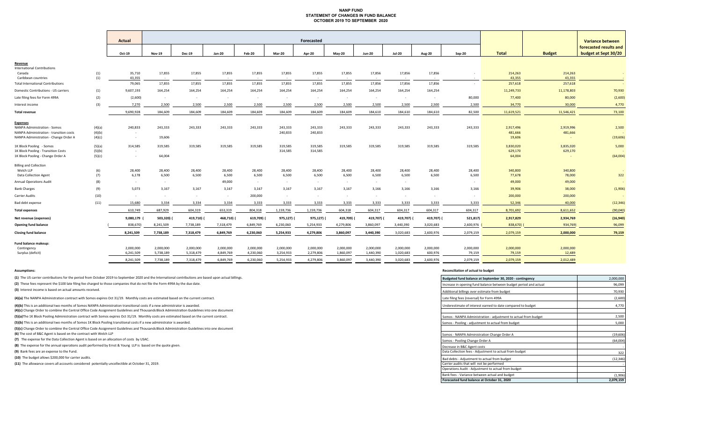# **NANP FUND STATEMENT OF CHANGES IN FUND BALANCE OCTOBER 2019 TO SEPTEMBER 2020**

|                                                |            | <b>Actual</b>    | Forecasted           |                  |                  |                  |            |           |                  |                  |                  |                  | <b>Variance between</b> |                   |                   |                        |
|------------------------------------------------|------------|------------------|----------------------|------------------|------------------|------------------|------------|-----------|------------------|------------------|------------------|------------------|-------------------------|-------------------|-------------------|------------------------|
|                                                |            |                  |                      |                  |                  |                  |            |           |                  |                  |                  |                  |                         |                   |                   | forecasted results and |
|                                                |            | Oct-19           | <b>Nov-19</b>        | <b>Dec-19</b>    | <b>Jan-20</b>    | <b>Feb-20</b>    | Mar-20     | Apr-20    | <b>May-20</b>    | <b>Jun-20</b>    | <b>Jul-20</b>    | <b>Aug-20</b>    | $Sep-20$                | <b>Total</b>      | <b>Budget</b>     | budget at Sept 30/20   |
| Revenue                                        |            |                  |                      |                  |                  |                  |            |           |                  |                  |                  |                  |                         |                   |                   |                        |
| <b>International Contributions</b>             |            |                  |                      |                  |                  |                  |            |           |                  |                  |                  |                  |                         |                   |                   |                        |
| Canada<br>Caribbean countries                  | (1)<br>(1) | 35,710<br>43.355 | 17,855<br>$\sim$ $-$ | 17,855<br>$\sim$ | 17,855<br>$\sim$ | 17,855           | 17,855     | 17,855    | 17,855<br>$\sim$ | 17,856<br>$\sim$ | 17,856<br>$\sim$ | 17,856<br>$\sim$ |                         | 214,263<br>43,355 | 214,263<br>43,355 |                        |
| <b>Total International Contributions</b>       |            | 79,065           | 17,855               | 17,855           | 17,855           | 17,855           | 17,855     | 17,855    | 17,855           | 17,856           | 17,856           | 17,856           | $\sim$                  | 257,618           | 257,618           |                        |
| Domestic Contributions - US carriers           | (1)        | 9,607,193        | 164,254              | 164,254          | 164,254          | 164,254          | 164,254    | 164,254   | 164,254          | 164,254          | 164,254          | 164,254          |                         | 11,249,733        | 11,178,803        | 70,930                 |
|                                                |            |                  |                      |                  |                  |                  |            |           |                  |                  |                  |                  |                         |                   |                   |                        |
| Late filing fees for Form 499A                 | (2)        | (2,600)          | $\sim$               | $\sim$           | $\sim$           | $\sim$           | $\sim$     | $\sim$    | $\sim$           | $\sim$           | $\sim$           | $\sim$           | 80,000                  | 77,400            | 80,000            | (2,600)                |
| Interest income                                | (3)        | 7,270            | 2,500                | 2,500            | 2,500            | 2,500            | 2,500      | 2,500     | 2,500            | 2,500            | 2,500            | 2,500            | 2,500                   | 34,770            | 30,000            | 4,770                  |
| <b>Total revenue</b>                           |            | 9,690,928        | 184,609              | 184,609          | 184,609          | 184,609          | 184,609    | 184,609   | 184,609          | 184,610          | 184,610          | 184,610          | 82,500                  | 11,619,521        | 11,546,421        | 73,100                 |
| <b>Expenses</b>                                |            |                  |                      |                  |                  |                  |            |           |                  |                  |                  |                  |                         |                   |                   |                        |
| <b>NANPA Administration - Somos</b>            | (4)(a)     | 240,833          | 243,333              | 243,333          | 243,333          | 243,333          | 243,333    | 243,333   | 243,333          | 243,333          | 243,333          | 243,333          | 243,333                 | 2,917,496         | 2,919,996         | 2,500                  |
| <b>NANPA Administration - transition costs</b> | (4)(b)     | $\sim$           |                      |                  |                  |                  | 240,833    | 240,833   |                  |                  |                  |                  |                         | 481,666           | 481,666           |                        |
| NANPA Administration - Change Order A          | (4)(c)     | $\sim$           | 19,606               |                  |                  |                  |            |           |                  |                  |                  |                  |                         | 19,606            |                   | (19,606)               |
| 1K Block Pooling - Somos                       | (5)(a)     | 314,585          | 319,585              | 319,585          | 319,585          | 319,585          | 319,585    | 319,585   | 319,585          | 319,585          | 319,585          | 319,585          | 319,585                 | 3,830,020         | 3,835,020         | 5,000                  |
| 1K Block Pooling - Transition Costs            | (5)(b)     | $\sim$           |                      |                  |                  |                  | 314,585    | 314,585   |                  |                  |                  |                  |                         | 629,170           | 629,170           |                        |
| 1K Block Pooling - Change Order A              | (5)(c)     | $\sim$           | 64,004               |                  |                  |                  |            |           |                  |                  |                  |                  |                         | 64,004            |                   | (64,004)               |
| <b>Billing and Collection</b>                  |            |                  |                      |                  |                  |                  |            |           |                  |                  |                  |                  |                         |                   |                   |                        |
| Welch LLP                                      | (6)        | 28,400           | 28,400               | 28,400           | 28,400           | 28,400           | 28,400     | 28,400    | 28,400           | 28,400           | 28,400           | 28,400           | 28,400                  | 340,800           | 340,800           | $\sim$                 |
| Data Collection Agent                          | (7)        | 6,178            | 6,500                | 6,500            | 6,500            | 6,500            | 6,500      | 6,500     | 6,500            | 6,500            | 6,500            | 6,500            | 6,500                   | 77,678            | 78,000            | 322                    |
| <b>Annual Operations Audit</b>                 | (8)        | $\sim$           | $\sim$               |                  | 49,000           | $\sim$ 100 $\mu$ | $\sim$     | $\sim$    | $\sim$           | $\sim$           | $\sim$           |                  |                         | 49,000            | 49,000            | $\sim$                 |
| <b>Bank Charges</b>                            | (9)        | 5,073            | 3,167                | 3,167            | 3,167            | 3,167            | 3,167      | 3,167     | 3,167            | 3,166            | 3,166            | 3,166            | 3,166                   | 39,906            | 38,000            | (1,906)                |
| Carrier Audits                                 | (10)       | $\sim$           | $\sim$               | $\sim$ $-$       | $\sim$           | 200,000          | $\sim$ $-$ | $\sim$    | $\sim$           | $\sim$ $-$       | $\sim$           | $\sim$           | $\sim$                  | 200,000           | 200,000           |                        |
| Bad debt expense                               | (11)       | 15,680           | 3,334                | 3,334            | 3,334            | 3,333            | 3,333      | 3,333     | 3,333            | 3,333            | 3,333            | 3,333            | 3,333                   | 52,346            | 40,000            | (12, 346)              |
| <b>Total expenses</b>                          |            | 610,749          | 687,929              | 604,319          | 653,319          | 804,318          | 1,159,736  | 1,159,736 | 604,318          | 604,317          | 604,317          | 604,317          | 604,317                 | 8,701,692         | 8,611,652         | (90,040)               |
| Net revenue (expenses)                         |            | 9,080,179        | 503,320)             | 419,710) (       | 468,710)         | 619,709) (       | 975,127)   | 975,127)  | 419,709)         | 419,707) (       | 419,707) (       | 419,707) (       | 521,817)                | 2,917,829         | 2,934,769         | (16, 940)              |
| <b>Opening fund balance</b>                    |            | 838,670)         | 8,241,509            | 7,738,189        | 7,318,479        | 6,849,769        | 6,230,060  | 5,254,933 | 4,279,806        | 3,860,097        | 3,440,390        | 3,020,683        | 2,600,976               | 838,670)          | 934,769)          | 96,099                 |
| <b>Closing fund balance</b>                    |            | 8,241,509        | 7,738,189            | 7,318,479        | 6,849,769        | 6,230,060        | 5,254,933  | 4,279,806 | 3,860,097        | 3,440,390        | 3,020,683        | 2,600,976        | 2,079,159               | 2,079,159         | 2,000,000         | 79,159                 |
| Fund balance makeup:                           |            |                  |                      |                  |                  |                  |            |           |                  |                  |                  |                  |                         |                   |                   |                        |
| Contingency                                    |            | 2,000,000        | 2,000,000            | 2,000,000        | 2,000,000        | 2,000,000        | 2,000,000  | 2,000,000 | 2,000,000        | 2,000,000        | 2,000,000        | 2,000,000        | 2,000,000               | 2,000,000         | 2,000,000         |                        |
| Surplus (deficit)                              |            | 6,241,509        | 5,738,189            | 5,318,479        | 4,849,769        | 4,230,060        | 3,254,933  | 2,279,806 | 1,860,097        | 1,440,390        | 1,020,683        | 600,976          | 79,159                  | 79,159            | 12,489            |                        |
|                                                |            | 8,241,509        | 7,738,189            | 7,318,479        | 6,849,769        | 6,230,060        | 5,254,933  | 4,279,806 | 3,860,097        | 3,440,390        | 3,020,683        | 2,600,976        | 2,079,159               | 2,079,159         | 2,012,489         |                        |

**(1)** The US carrier contributions for the period from October 2019 to September 2020 and the International contributions are based upon actual billings.

#### **Assumptions: Reconciliation of actual to budget**

| (1) The US carrier contributions for the period from October 2019 to September 2020 and the International contributions are based upon actual billings.                                                                                                                     | Budgeted fund balance at September 30, 2020 - contingency         | 2,000,000 |
|-----------------------------------------------------------------------------------------------------------------------------------------------------------------------------------------------------------------------------------------------------------------------------|-------------------------------------------------------------------|-----------|
| (2) These fees represent the \$100 late filing fee charged to those companies that do not file the Form 499A by the due date.                                                                                                                                               | Increase in opening fund balance between budget period and actual | 96,099    |
| (3) Interest income is based on actual amounts received.                                                                                                                                                                                                                    | Additional billings over estimate from budget                     | 70,930    |
| (4)(a) The NANPA Administration contract with Somos expires Oct 31/19. Monthly costs are estimated based on the current contract.                                                                                                                                           | Late filing fees (reversal) for Form 499A                         | (2,600)   |
| (4)(b) This is an additional two months of Somos NANPA Administration transitional costs if a new administrator is awarded.<br>(4)(c) Change Order to combine the Central Office Code Assignment Guidelines and Thousands Block Administration Guidelines into one document | Underestimate of interest earned to date compared to budget       | 4,770     |
| (5)(a)The 1K Block Pooling Administration contract with Somos expires Oct 31/19. Monthly costs are estimated based on the current contract.                                                                                                                                 | Somos - NANPA Administration - adjustment to actual from budget   | 2,500     |
| (5)(b) This is an additional two months of Somos 1K Block Pooling transitional costs if a new administrator is awarded.                                                                                                                                                     | Somos - Pooling - adjustment to actual from budget                | 5,000     |
| (5)(c) Change Order to combine the Central Office Code Assignment Guidelines and Thousands Block Administration Guidelines into one document                                                                                                                                |                                                                   |           |
| (6) The cost of B&C Agent is based on the contract with Welch LLP                                                                                                                                                                                                           | Somos - NANPA Administration Change Order A                       | (19, 606) |
| (7) The expense for the Data Collection Agent is based on an allocation of costs by USAC.                                                                                                                                                                                   | Somos - Pooling Change Order A                                    | (64,004)  |
| (8) The expense for the annual operations audit performed by Ernst & Young LLP is based on the quote given.                                                                                                                                                                 | Decrease in B&C Agent costs                                       |           |
| (9) Bank fees are an expense to the Fund.                                                                                                                                                                                                                                   | Data Collection fees - Adjustment to actual from budget           | 322       |
| (10) The budget allows \$200,000 for carrier audits.                                                                                                                                                                                                                        | Bad debts - Adjustment to actual from budget                      | (12, 346) |
| (11) The allowance covers all accounts considered potentially uncollectible at October 31, 2019.                                                                                                                                                                            | Carrier audits that will not be performed                         |           |
|                                                                                                                                                                                                                                                                             | Operations Audit - Adjustment to actual from budget               |           |
|                                                                                                                                                                                                                                                                             | Bank fees - Variance between actual and budget                    | (1,906)   |
|                                                                                                                                                                                                                                                                             | Forecasted fund balance at October 31, 2020                       | 2,079,159 |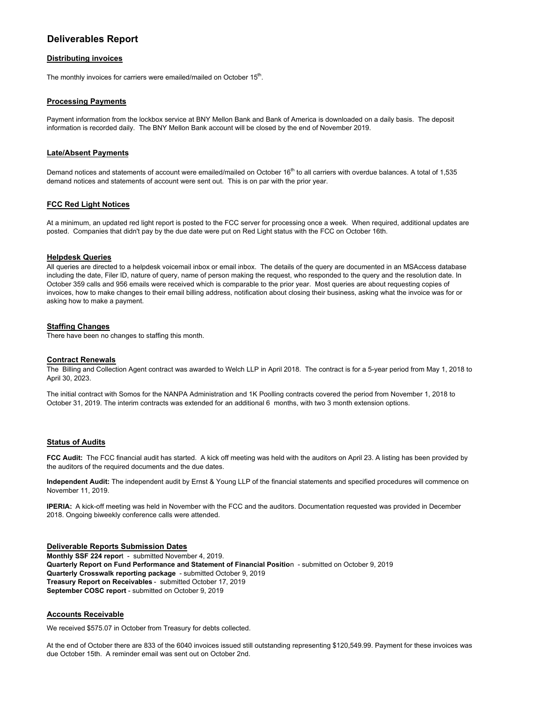# **Deliverables Report**

# **Distributing invoices**

The monthly invoices for carriers were emailed/mailed on October 15<sup>th</sup>.

# **Processing Payments**

Payment information from the lockbox service at BNY Mellon Bank and Bank of America is downloaded on a daily basis. The deposit information is recorded daily. The BNY Mellon Bank account will be closed by the end of November 2019.

# **Late/Absent Payments**

Demand notices and statements of account were emailed/mailed on October 16<sup>th</sup> to all carriers with overdue balances. A total of 1,535 demand notices and statements of account were sent out. This is on par with the prior year.

# **FCC Red Light Notices**

At a minimum, an updated red light report is posted to the FCC server for processing once a week. When required, additional updates are posted. Companies that didn't pay by the due date were put on Red Light status with the FCC on October 16th.

# **Helpdesk Queries**

All queries are directed to a helpdesk voicemail inbox or email inbox. The details of the query are documented in an MSAccess database including the date, Filer ID, nature of query, name of person making the request, who responded to the query and the resolution date. In October 359 calls and 956 emails were received which is comparable to the prior year. Most queries are about requesting copies of invoices, how to make changes to their email billing address, notification about closing their business, asking what the invoice was for or asking how to make a payment.

# **Staffing Changes**

There have been no changes to staffing this month.

#### **Contract Renewals**

The Billing and Collection Agent contract was awarded to Welch LLP in April 2018. The contract is for a 5-year period from May 1, 2018 to April 30, 2023.

The initial contract with Somos for the NANPA Administration and 1K Poolling contracts covered the period from November 1, 2018 to October 31, 2019. The interim contracts was extended for an additional 6 months, with two 3 month extension options.

#### **Status of Audits**

**FCC Audit:** The FCC financial audit has started. A kick off meeting was held with the auditors on April 23. A listing has been provided by the auditors of the required documents and the due dates.

**Independent Audit:** The independent audit by Ernst & Young LLP of the financial statements and specified procedures will commence on November 11, 2019.

**IPERIA:** A kick-off meeting was held in November with the FCC and the auditors. Documentation requested was provided in December 2018. Ongoing biweekly conference calls were attended.

#### **Deliverable Reports Submission Dates**

**Monthly SSF 224 repor**t - submitted November 4, 2019. **Quarterly Report on Fund Performance and Statement of Financial Positio**n - submitted on October 9, 2019 **Quarterly Crosswalk reporting package** - submitted October 9, 2019 **Treasury Report on Receivables** - submitted October 17, 2019 **September COSC report** - submitted on October 9, 2019

### **Accounts Receivable**

We received \$575.07 in October from Treasury for debts collected.

At the end of October there are 833 of the 6040 invoices issued still outstanding representing \$120,549.99. Payment for these invoices was due October 15th. A reminder email was sent out on October 2nd.